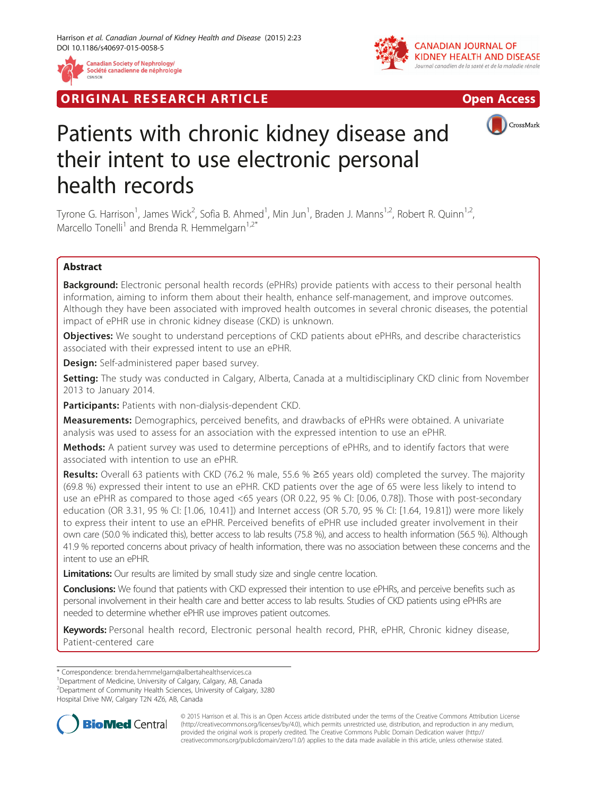

**RIGINAL RESEARCH ARTICLE CONSUMING ACCESS** 





# Patients with chronic kidney disease and their intent to use electronic personal health records

Tyrone G. Harrison<sup>1</sup>, James Wick<sup>2</sup>, Sofia B. Ahmed<sup>1</sup>, Min Jun<sup>1</sup>, Braden J. Manns<sup>1,2</sup>, Robert R. Quinn<sup>1,2</sup>, Marcello Tonelli<sup>1</sup> and Brenda R. Hemmelgarn<sup>1,2\*</sup>

# Abstract

Background: Electronic personal health records (ePHRs) provide patients with access to their personal health information, aiming to inform them about their health, enhance self-management, and improve outcomes. Although they have been associated with improved health outcomes in several chronic diseases, the potential impact of ePHR use in chronic kidney disease (CKD) is unknown.

**Objectives:** We sought to understand perceptions of CKD patients about ePHRs, and describe characteristics associated with their expressed intent to use an ePHR.

**Design:** Self-administered paper based survey.

Setting: The study was conducted in Calgary, Alberta, Canada at a multidisciplinary CKD clinic from November 2013 to January 2014.

Participants: Patients with non-dialysis-dependent CKD.

**Measurements:** Demographics, perceived benefits, and drawbacks of ePHRs were obtained. A univariate analysis was used to assess for an association with the expressed intention to use an ePHR.

Methods: A patient survey was used to determine perceptions of ePHRs, and to identify factors that were associated with intention to use an ePHR.

Results: Overall 63 patients with CKD (76.2 % male, 55.6 % ≥65 years old) completed the survey. The majority (69.8 %) expressed their intent to use an ePHR. CKD patients over the age of 65 were less likely to intend to use an ePHR as compared to those aged <65 years (OR 0.22, 95 % CI: [0.06, 0.78]). Those with post-secondary education (OR 3.31, 95 % CI: [1.06, 10.41]) and Internet access (OR 5.70, 95 % CI: [1.64, 19.81]) were more likely to express their intent to use an ePHR. Perceived benefits of ePHR use included greater involvement in their own care (50.0 % indicated this), better access to lab results (75.8 %), and access to health information (56.5 %). Although 41.9 % reported concerns about privacy of health information, there was no association between these concerns and the intent to use an ePHR.

Limitations: Our results are limited by small study size and single centre location.

Conclusions: We found that patients with CKD expressed their intention to use ePHRs, and perceive benefits such as personal involvement in their health care and better access to lab results. Studies of CKD patients using ePHRs are needed to determine whether ePHR use improves patient outcomes.

Keywords: Personal health record, Electronic personal health record, PHR, ePHR, Chronic kidney disease, Patient-centered care

\* Correspondence: [brenda.hemmelgarn@albertahealthservices.ca](mailto:brenda.hemmelgarn@albertahealthservices.ca) <sup>1</sup>

<sup>1</sup>Department of Medicine, University of Calgary, Calgary, AB, Canada

2 Department of Community Health Sciences, University of Calgary, 3280

Hospital Drive NW, Calgary T2N 4Z6, AB, Canada



© 2015 Harrison et al. This is an Open Access article distributed under the terms of the Creative Commons Attribution License [\(http://creativecommons.org/licenses/by/4.0\)](http://creativecommons.org/licenses/by/4.0), which permits unrestricted use, distribution, and reproduction in any medium, provided the original work is properly credited. The Creative Commons Public Domain Dedication waiver [\(http://](http://creativecommons.org/publicdomain/zero/1.0/) [creativecommons.org/publicdomain/zero/1.0/\)](http://creativecommons.org/publicdomain/zero/1.0/) applies to the data made available in this article, unless otherwise stated.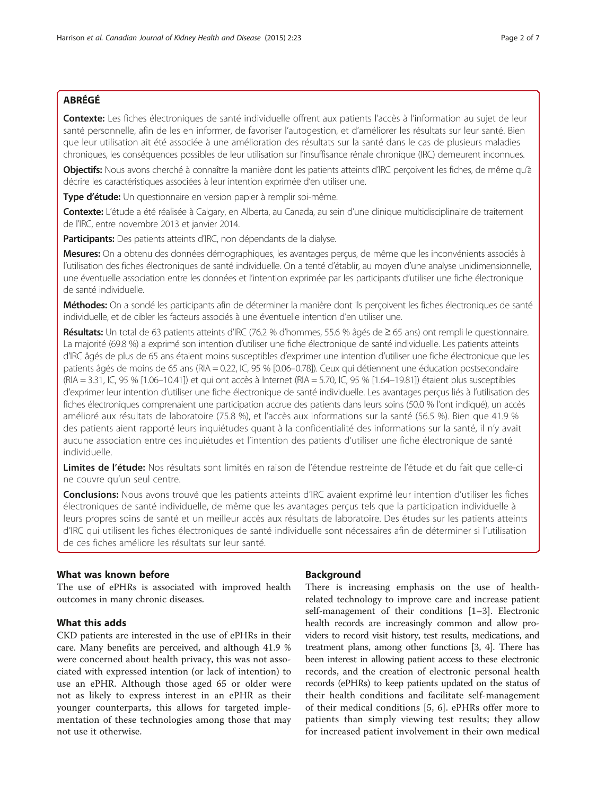# ABRÉGÉ

Contexte: Les fiches électroniques de santé individuelle offrent aux patients l'accès à l'information au sujet de leur santé personnelle, afin de les en informer, de favoriser l'autogestion, et d'améliorer les résultats sur leur santé. Bien que leur utilisation ait été associée à une amélioration des résultats sur la santé dans le cas de plusieurs maladies chroniques, les conséquences possibles de leur utilisation sur l'insuffisance rénale chronique (IRC) demeurent inconnues.

Objectifs: Nous avons cherché à connaître la manière dont les patients atteints d'IRC percoivent les fiches, de même qu'à décrire les caractéristiques associées à leur intention exprimée d'en utiliser une.

Type d'étude: Un questionnaire en version papier à remplir soi-même.

Contexte: L'étude a été réalisée à Calgary, en Alberta, au Canada, au sein d'une clinique multidisciplinaire de traitement de l'IRC, entre novembre 2013 et janvier 2014.

Participants: Des patients atteints d'IRC, non dépendants de la dialyse.

Mesures: On a obtenu des données démographiques, les avantages perçus, de même que les inconvénients associés à l'utilisation des fiches électroniques de santé individuelle. On a tenté d'établir, au moyen d'une analyse unidimensionnelle, une éventuelle association entre les données et l'intention exprimée par les participants d'utiliser une fiche électronique de santé individuelle.

Méthodes: On a sondé les participants afin de déterminer la manière dont ils percoivent les fiches électroniques de santé individuelle, et de cibler les facteurs associés à une éventuelle intention d'en utiliser une.

Résultats: Un total de 63 patients atteints d'IRC (76.2 % d'hommes, 55.6 % âgés de ≥ 65 ans) ont rempli le questionnaire. La majorité (69.8 %) a exprimé son intention d'utiliser une fiche électronique de santé individuelle. Les patients atteints d'IRC âgés de plus de 65 ans étaient moins susceptibles d'exprimer une intention d'utiliser une fiche électronique que les patients âgés de moins de 65 ans (RIA = 0.22, IC, 95 % [0.06–0.78]). Ceux qui détiennent une éducation postsecondaire (RIA = 3.31, IC, 95 % [1.06–10.41]) et qui ont accès à Internet (RIA = 5.70, IC, 95 % [1.64–19.81]) étaient plus susceptibles d'exprimer leur intention d'utiliser une fiche électronique de santé individuelle. Les avantages perçus liés à l'utilisation des fiches électroniques comprenaient une participation accrue des patients dans leurs soins (50.0 % l'ont indiqué), un accès amélioré aux résultats de laboratoire (75.8 %), et l'accès aux informations sur la santé (56.5 %). Bien que 41.9 % des patients aient rapporté leurs inquiétudes quant à la confidentialité des informations sur la santé, il n'y avait aucune association entre ces inquiétudes et l'intention des patients d'utiliser une fiche électronique de santé individuelle.

Limites de l'étude: Nos résultats sont limités en raison de l'étendue restreinte de l'étude et du fait que celle-ci ne couvre qu'un seul centre.

Conclusions: Nous avons trouvé que les patients atteints d'IRC avaient exprimé leur intention d'utiliser les fiches électroniques de santé individuelle, de même que les avantages perçus tels que la participation individuelle à leurs propres soins de santé et un meilleur accès aux résultats de laboratoire. Des études sur les patients atteints d'IRC qui utilisent les fiches électroniques de santé individuelle sont nécessaires afin de déterminer si l'utilisation de ces fiches améliore les résultats sur leur santé.

# What was known before

The use of ePHRs is associated with improved health outcomes in many chronic diseases.

## What this adds

CKD patients are interested in the use of ePHRs in their care. Many benefits are perceived, and although 41.9 % were concerned about health privacy, this was not associated with expressed intention (or lack of intention) to use an ePHR. Although those aged 65 or older were not as likely to express interest in an ePHR as their younger counterparts, this allows for targeted implementation of these technologies among those that may not use it otherwise.

## Background

There is increasing emphasis on the use of healthrelated technology to improve care and increase patient self-management of their conditions [\[1](#page-6-0)–[3](#page-6-0)]. Electronic health records are increasingly common and allow providers to record visit history, test results, medications, and treatment plans, among other functions [\[3](#page-6-0), [4\]](#page-6-0). There has been interest in allowing patient access to these electronic records, and the creation of electronic personal health records (ePHRs) to keep patients updated on the status of their health conditions and facilitate self-management of their medical conditions [[5, 6\]](#page-6-0). ePHRs offer more to patients than simply viewing test results; they allow for increased patient involvement in their own medical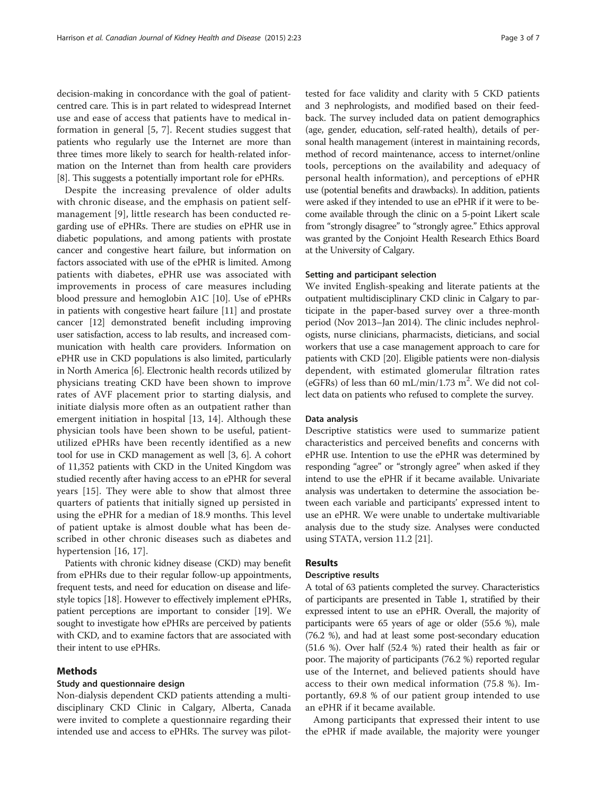decision-making in concordance with the goal of patientcentred care. This is in part related to widespread Internet use and ease of access that patients have to medical information in general [\[5, 7](#page-6-0)]. Recent studies suggest that patients who regularly use the Internet are more than three times more likely to search for health-related information on the Internet than from health care providers [[8\]](#page-6-0). This suggests a potentially important role for ePHRs.

Despite the increasing prevalence of older adults with chronic disease, and the emphasis on patient selfmanagement [\[9\]](#page-6-0), little research has been conducted regarding use of ePHRs. There are studies on ePHR use in diabetic populations, and among patients with prostate cancer and congestive heart failure, but information on factors associated with use of the ePHR is limited. Among patients with diabetes, ePHR use was associated with improvements in process of care measures including blood pressure and hemoglobin A1C [[10\]](#page-6-0). Use of ePHRs in patients with congestive heart failure [\[11\]](#page-6-0) and prostate cancer [\[12\]](#page-6-0) demonstrated benefit including improving user satisfaction, access to lab results, and increased communication with health care providers. Information on ePHR use in CKD populations is also limited, particularly in North America [[6\]](#page-6-0). Electronic health records utilized by physicians treating CKD have been shown to improve rates of AVF placement prior to starting dialysis, and initiate dialysis more often as an outpatient rather than emergent initiation in hospital [[13, 14](#page-6-0)]. Although these physician tools have been shown to be useful, patientutilized ePHRs have been recently identified as a new tool for use in CKD management as well [[3](#page-6-0), [6\]](#page-6-0). A cohort of 11,352 patients with CKD in the United Kingdom was studied recently after having access to an ePHR for several years [[15\]](#page-6-0). They were able to show that almost three quarters of patients that initially signed up persisted in using the ePHR for a median of 18.9 months. This level of patient uptake is almost double what has been described in other chronic diseases such as diabetes and hypertension [[16](#page-6-0), [17](#page-6-0)].

Patients with chronic kidney disease (CKD) may benefit from ePHRs due to their regular follow-up appointments, frequent tests, and need for education on disease and lifestyle topics [[18](#page-6-0)]. However to effectively implement ePHRs, patient perceptions are important to consider [[19](#page-6-0)]. We sought to investigate how ePHRs are perceived by patients with CKD, and to examine factors that are associated with their intent to use ePHRs.

### Methods

#### Study and questionnaire design

Non-dialysis dependent CKD patients attending a multidisciplinary CKD Clinic in Calgary, Alberta, Canada were invited to complete a questionnaire regarding their intended use and access to ePHRs. The survey was pilot-

tested for face validity and clarity with 5 CKD patients and 3 nephrologists, and modified based on their feedback. The survey included data on patient demographics (age, gender, education, self-rated health), details of personal health management (interest in maintaining records, method of record maintenance, access to internet/online tools, perceptions on the availability and adequacy of personal health information), and perceptions of ePHR use (potential benefits and drawbacks). In addition, patients were asked if they intended to use an ePHR if it were to become available through the clinic on a 5-point Likert scale from "strongly disagree" to "strongly agree." Ethics approval was granted by the Conjoint Health Research Ethics Board at the University of Calgary.

#### Setting and participant selection

We invited English-speaking and literate patients at the outpatient multidisciplinary CKD clinic in Calgary to participate in the paper-based survey over a three-month period (Nov 2013–Jan 2014). The clinic includes nephrologists, nurse clinicians, pharmacists, dieticians, and social workers that use a case management approach to care for patients with CKD [\[20\]](#page-6-0). Eligible patients were non-dialysis dependent, with estimated glomerular filtration rates (eGFRs) of less than 60 mL/min/1.73  $m^2$ . We did not collect data on patients who refused to complete the survey.

### Data analysis

Descriptive statistics were used to summarize patient characteristics and perceived benefits and concerns with ePHR use. Intention to use the ePHR was determined by responding "agree" or "strongly agree" when asked if they intend to use the ePHR if it became available. Univariate analysis was undertaken to determine the association between each variable and participants' expressed intent to use an ePHR. We were unable to undertake multivariable analysis due to the study size. Analyses were conducted using STATA, version 11.2 [\[21\]](#page-6-0).

# Results

## Descriptive results

A total of 63 patients completed the survey. Characteristics of participants are presented in Table [1](#page-3-0), stratified by their expressed intent to use an ePHR. Overall, the majority of participants were 65 years of age or older (55.6 %), male (76.2 %), and had at least some post-secondary education (51.6 %). Over half (52.4 %) rated their health as fair or poor. The majority of participants (76.2 %) reported regular use of the Internet, and believed patients should have access to their own medical information (75.8 %). Importantly, 69.8 % of our patient group intended to use an ePHR if it became available.

Among participants that expressed their intent to use the ePHR if made available, the majority were younger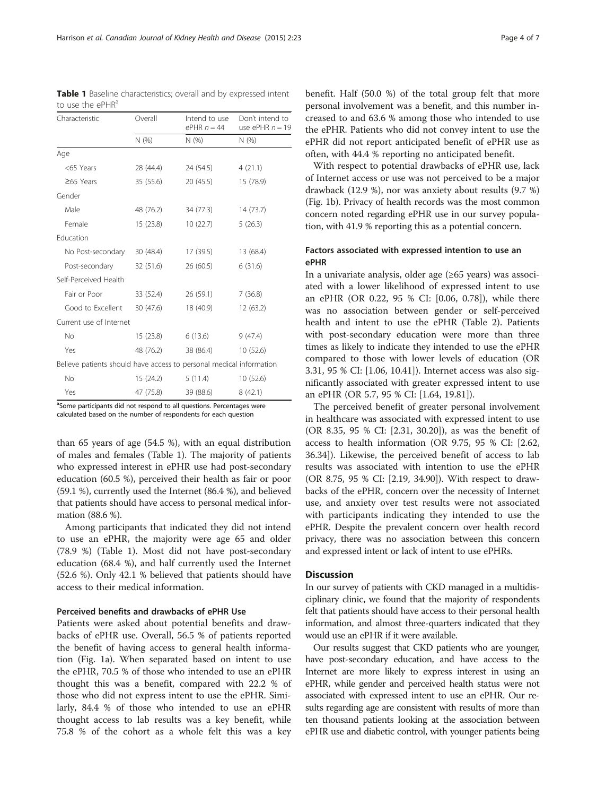<sup>a</sup>Some participants did not respond to all questions. Percentages were calculated based on the number of respondents for each question

than 65 years of age (54.5 %), with an equal distribution of males and females (Table 1). The majority of patients who expressed interest in ePHR use had post-secondary education (60.5 %), perceived their health as fair or poor (59.1 %), currently used the Internet (86.4 %), and believed that patients should have access to personal medical information (88.6 %).

Among participants that indicated they did not intend to use an ePHR, the majority were age 65 and older (78.9 %) (Table 1). Most did not have post-secondary education (68.4 %), and half currently used the Internet (52.6 %). Only 42.1 % believed that patients should have access to their medical information.

## Perceived benefits and drawbacks of ePHR Use

Patients were asked about potential benefits and drawbacks of ePHR use. Overall, 56.5 % of patients reported the benefit of having access to general health information (Fig. [1a](#page-4-0)). When separated based on intent to use the ePHR, 70.5 % of those who intended to use an ePHR thought this was a benefit, compared with 22.2 % of those who did not express intent to use the ePHR. Similarly, 84.4 % of those who intended to use an ePHR thought access to lab results was a key benefit, while 75.8 % of the cohort as a whole felt this was a key

benefit. Half (50.0 %) of the total group felt that more personal involvement was a benefit, and this number increased to and 63.6 % among those who intended to use the ePHR. Patients who did not convey intent to use the ePHR did not report anticipated benefit of ePHR use as often, with 44.4 % reporting no anticipated benefit.

With respect to potential drawbacks of ePHR use, lack of Internet access or use was not perceived to be a major drawback (12.9 %), nor was anxiety about results (9.7 %) (Fig. [1b\)](#page-4-0). Privacy of health records was the most common concern noted regarding ePHR use in our survey population, with 41.9 % reporting this as a potential concern.

## Factors associated with expressed intention to use an ePHR

In a univariate analysis, older age (≥65 years) was associated with a lower likelihood of expressed intent to use an ePHR (OR 0.22, 95 % CI: [0.06, 0.78]), while there was no association between gender or self-perceived health and intent to use the ePHR (Table [2\)](#page-5-0). Patients with post-secondary education were more than three times as likely to indicate they intended to use the ePHR compared to those with lower levels of education (OR 3.31, 95 % CI: [1.06, 10.41]). Internet access was also significantly associated with greater expressed intent to use an ePHR (OR 5.7, 95 % CI: [1.64, 19.81]).

The perceived benefit of greater personal involvement in healthcare was associated with expressed intent to use (OR 8.35, 95 % CI: [2.31, 30.20]), as was the benefit of access to health information (OR 9.75, 95 % CI: [2.62, 36.34]). Likewise, the perceived benefit of access to lab results was associated with intention to use the ePHR (OR 8.75, 95 % CI: [2.19, 34.90]). With respect to drawbacks of the ePHR, concern over the necessity of Internet use, and anxiety over test results were not associated with participants indicating they intended to use the ePHR. Despite the prevalent concern over health record privacy, there was no association between this concern and expressed intent or lack of intent to use ePHRs.

# **Discussion**

In our survey of patients with CKD managed in a multidisciplinary clinic, we found that the majority of respondents felt that patients should have access to their personal health information, and almost three-quarters indicated that they would use an ePHR if it were available.

Our results suggest that CKD patients who are younger, have post-secondary education, and have access to the Internet are more likely to express interest in using an ePHR, while gender and perceived health status were not associated with expressed intent to use an ePHR. Our results regarding age are consistent with results of more than ten thousand patients looking at the association between ePHR use and diabetic control, with younger patients being

Table 1 Baseline characteristics; overall and by expressed intent to use the ePHR<sup>a</sup>

<span id="page-3-0"></span>

| Harrison et al. Canadian Journal of Kidney Health and Disease (2015) 2:23 | Page 4 of 7 |
|---------------------------------------------------------------------------|-------------|
|---------------------------------------------------------------------------|-------------|

| Characteristic                                                      | Overall   | Intend to use<br>ePHR $n = 44$ | Don't intend to<br>use ePHR $n = 19$ |  |
|---------------------------------------------------------------------|-----------|--------------------------------|--------------------------------------|--|
|                                                                     | N(% )     | N(%)                           | N(% )                                |  |
| Age                                                                 |           |                                |                                      |  |
| <65 Years                                                           | 28 (44.4) | 24 (54.5)                      | 4(21.1)                              |  |
| $\geq 65$ Years                                                     | 35 (55.6) | 20(45.5)                       | 15 (78.9)                            |  |
| Gender                                                              |           |                                |                                      |  |
| Male                                                                | 48 (76.2) | 34 (77.3)                      | 14(73.7)                             |  |
| Female                                                              | 15(23.8)  | 10(22.7)                       | 5(26.3)                              |  |
| Education                                                           |           |                                |                                      |  |
| No Post-secondary                                                   | 30 (48.4) | 17 (39.5)                      | 13 (68.4)                            |  |
| Post-secondary                                                      | 32 (51.6) | 26(60.5)                       | 6(31.6)                              |  |
| Self-Perceived Health                                               |           |                                |                                      |  |
| Fair or Poor                                                        | 33 (52.4) | 26 (59.1)                      | 7(36.8)                              |  |
| Good to Excellent                                                   | 30 (47.6) | 18 (40.9)                      | 12(63.2)                             |  |
| Current use of Internet                                             |           |                                |                                      |  |
| No                                                                  | 15(23.8)  | 6(13.6)                        | 9(47.4)                              |  |
| Yes                                                                 | 48 (76.2) | 38 (86.4)                      | 10(52.6)                             |  |
| Believe patients should have access to personal medical information |           |                                |                                      |  |
| No                                                                  | 15 (24.2) | 5 (11.4)                       | 10(52.6)                             |  |
| Yes<br>$a^{\prime}$<br>$\cdots$<br>$\cdots$                         | 47 (75.8) | 39 (88.6)<br>$\sim$ 10 $-$     | 8(42.1)                              |  |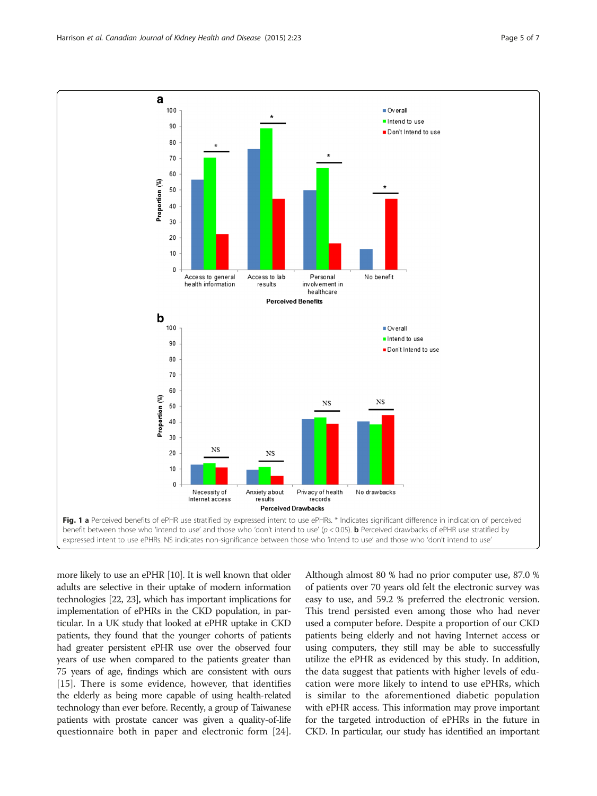<span id="page-4-0"></span>

more likely to use an ePHR [\[10](#page-6-0)]. It is well known that older adults are selective in their uptake of modern information technologies [[22](#page-6-0), [23](#page-6-0)], which has important implications for implementation of ePHRs in the CKD population, in particular. In a UK study that looked at ePHR uptake in CKD patients, they found that the younger cohorts of patients had greater persistent ePHR use over the observed four years of use when compared to the patients greater than 75 years of age, findings which are consistent with ours [[15\]](#page-6-0). There is some evidence, however, that identifies the elderly as being more capable of using health-related technology than ever before. Recently, a group of Taiwanese patients with prostate cancer was given a quality-of-life questionnaire both in paper and electronic form [[24](#page-6-0)]. Although almost 80 % had no prior computer use, 87.0 % of patients over 70 years old felt the electronic survey was easy to use, and 59.2 % preferred the electronic version. This trend persisted even among those who had never used a computer before. Despite a proportion of our CKD patients being elderly and not having Internet access or using computers, they still may be able to successfully utilize the ePHR as evidenced by this study. In addition, the data suggest that patients with higher levels of education were more likely to intend to use ePHRs, which is similar to the aforementioned diabetic population with ePHR access. This information may prove important for the targeted introduction of ePHRs in the future in CKD. In particular, our study has identified an important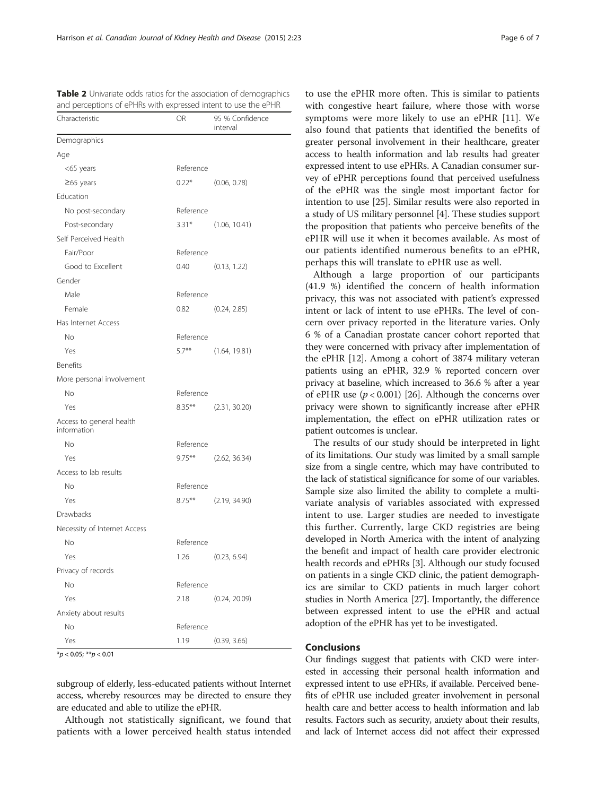| Characteristic                          | <b>OR</b> | 95 % Confidence<br>interval |
|-----------------------------------------|-----------|-----------------------------|
| Demographics                            |           |                             |
| Age                                     |           |                             |
| <65 years                               | Reference |                             |
| $\geq$ 65 years                         | $0.22*$   | (0.06, 0.78)                |
| Education                               |           |                             |
| No post-secondary                       | Reference |                             |
| Post-secondary                          | $3.31*$   | (1.06, 10.41)               |
| Self Perceived Health                   |           |                             |
| Fair/Poor                               | Reference |                             |
| Good to Excellent                       | 0.40      | (0.13, 1.22)                |
| Gender                                  |           |                             |
| Male                                    | Reference |                             |
| Female                                  | 0.82      | (0.24, 2.85)                |
| Has Internet Access                     |           |                             |
| No                                      | Reference |                             |
| Yes                                     | $5.7***$  | (1.64, 19.81)               |
| Benefits                                |           |                             |
| More personal involvement               |           |                             |
| No                                      | Reference |                             |
| Yes                                     | $8.35***$ | (2.31, 30.20)               |
| Access to general health<br>information |           |                             |
| <b>No</b>                               | Reference |                             |
| Yes                                     | $9.75***$ | (2.62, 36.34)               |
| Access to lab results                   |           |                             |
| No                                      | Reference |                             |
| Yes                                     | $8.75***$ | (2.19, 34.90)               |
| Drawbacks                               |           |                             |
| Necessity of Internet Access            |           |                             |
| No                                      | Reference |                             |
| Yes                                     |           | 1.26 (0.23, 6.94)           |
| Privacy of records                      |           |                             |
| No                                      | Reference |                             |
| Yes                                     | 2.18      | (0.24, 20.09)               |
| Anxiety about results                   |           |                             |
| <b>No</b>                               | Reference |                             |
| Yes                                     | 1.19      | (0.39, 3.66)                |

<span id="page-5-0"></span>**Table 2** Univariate odds ratios for the association of demographics and perceptions of ePHRs with expressed intent to use the ePHR

 $*p < 0.05; **p < 0.01$ 

subgroup of elderly, less-educated patients without Internet access, whereby resources may be directed to ensure they are educated and able to utilize the ePHR.

Although not statistically significant, we found that patients with a lower perceived health status intended

to use the ePHR more often. This is similar to patients with congestive heart failure, where those with worse symptoms were more likely to use an ePHR [\[11](#page-6-0)]. We also found that patients that identified the benefits of greater personal involvement in their healthcare, greater access to health information and lab results had greater expressed intent to use ePHRs. A Canadian consumer survey of ePHR perceptions found that perceived usefulness of the ePHR was the single most important factor for intention to use [[25](#page-6-0)]. Similar results were also reported in a study of US military personnel [[4](#page-6-0)]. These studies support the proposition that patients who perceive benefits of the ePHR will use it when it becomes available. As most of our patients identified numerous benefits to an ePHR, perhaps this will translate to ePHR use as well.

Although a large proportion of our participants (41.9 %) identified the concern of health information privacy, this was not associated with patient's expressed intent or lack of intent to use ePHRs. The level of concern over privacy reported in the literature varies. Only 6 % of a Canadian prostate cancer cohort reported that they were concerned with privacy after implementation of the ePHR [[12](#page-6-0)]. Among a cohort of 3874 military veteran patients using an ePHR, 32.9 % reported concern over privacy at baseline, which increased to 36.6 % after a year of ePHR use  $(p < 0.001)$  [[26](#page-6-0)]. Although the concerns over privacy were shown to significantly increase after ePHR implementation, the effect on ePHR utilization rates or patient outcomes is unclear.

The results of our study should be interpreted in light of its limitations. Our study was limited by a small sample size from a single centre, which may have contributed to the lack of statistical significance for some of our variables. Sample size also limited the ability to complete a multivariate analysis of variables associated with expressed intent to use. Larger studies are needed to investigate this further. Currently, large CKD registries are being developed in North America with the intent of analyzing the benefit and impact of health care provider electronic health records and ePHRs [\[3](#page-6-0)]. Although our study focused on patients in a single CKD clinic, the patient demographics are similar to CKD patients in much larger cohort studies in North America [\[27\]](#page-6-0). Importantly, the difference between expressed intent to use the ePHR and actual adoption of the ePHR has yet to be investigated.

### Conclusions

Our findings suggest that patients with CKD were interested in accessing their personal health information and expressed intent to use ePHRs, if available. Perceived benefits of ePHR use included greater involvement in personal health care and better access to health information and lab results. Factors such as security, anxiety about their results, and lack of Internet access did not affect their expressed